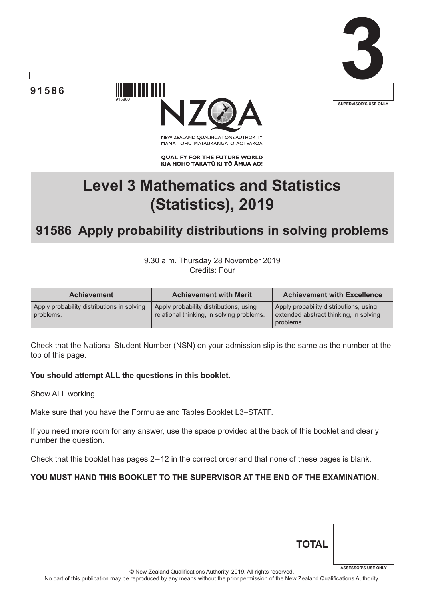





NEW ZEALAND OUALIFICATIONS AUTHORITY MANA TOHU MĀTAURANGA O AOTEAROA

**QUALIFY FOR THE FUTURE WORLD** KIA NOHO TAKATŪ KI TŌ ĀMUA AO!

# **Level 3 Mathematics and Statistics (Statistics), 2019**

# **91586 Apply probability distributions in solving problems**

9.30 a.m. Thursday 28 November 2019 Credits: Four

| <b>Achievement</b>                                      | <b>Achievement with Merit</b>                                                       | <b>Achievement with Excellence</b>                                                            |
|---------------------------------------------------------|-------------------------------------------------------------------------------------|-----------------------------------------------------------------------------------------------|
| Apply probability distributions in solving<br>problems. | Apply probability distributions, using<br>relational thinking, in solving problems. | Apply probability distributions, using<br>extended abstract thinking, in solving<br>problems. |

Check that the National Student Number (NSN) on your admission slip is the same as the number at the top of this page.

#### **You should attempt ALL the questions in this booklet.**

915860

Show ALL working.

Make sure that you have the Formulae and Tables Booklet L3–STATF.

If you need more room for any answer, use the space provided at the back of this booklet and clearly number the question.

Check that this booklet has pages 2 – 12 in the correct order and that none of these pages is blank.

#### **YOU MUST HAND THIS BOOKLET TO THE SUPERVISOR AT THE END OF THE EXAMINATION.**

| <b>TOTAL</b> |                            |
|--------------|----------------------------|
|              | <b>ASSESSOR'S USE ONLY</b> |

© New Zealand Qualifications Authority, 2019. All rights reserved.

No part of this publication may be reproduced by any means without the prior permission of the New Zealand Qualifications Authority.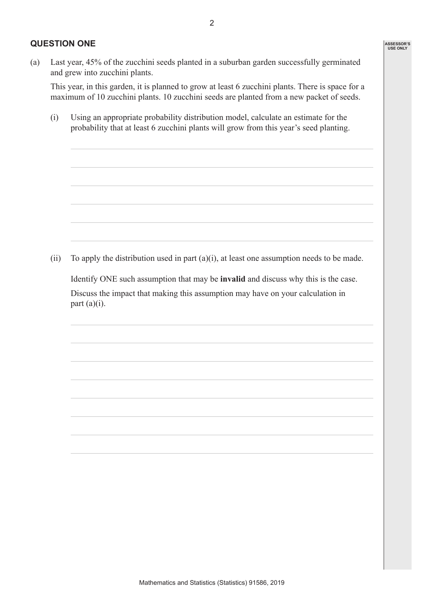#### **QUESTION ONE**

This year, in this garden, it is planned to grow at least 6 zucchini plants. There is space for a maximum of 10 zucchini plants. 10 zucchini seeds are planted from a new packet of seeds.

(i) Using an appropriate probability distribution model, calculate an estimate for the probability that at least 6 zucchini plants will grow from this year's seed planting.

(ii) To apply the distribution used in part (a)(i), at least one assumption needs to be made.

Identify ONE such assumption that may be **invalid** and discuss why this is the case.

 Discuss the impact that making this assumption may have on your calculation in part  $(a)(i)$ .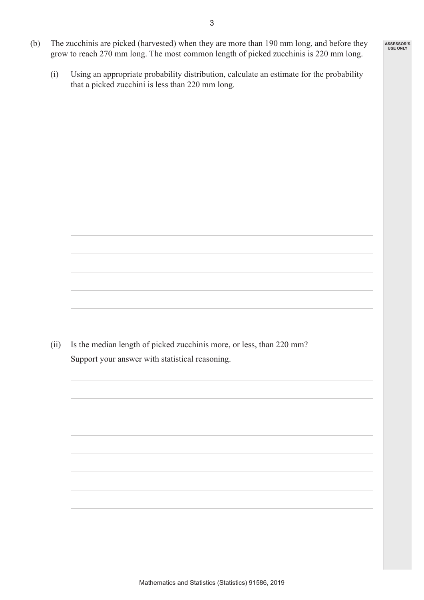- (b) The zucchinis are picked (harvested) when they are more than 190 mm long, and before they grow to reach 270 mm long. The most common length of picked zucchinis is 220 mm long.
	- (i) Using an appropriate probability distribution, calculate an estimate for the probability that a picked zucchini is less than 220 mm long.

(ii) Is the median length of picked zucchinis more, or less, than 220 mm? Support your answer with statistical reasoning.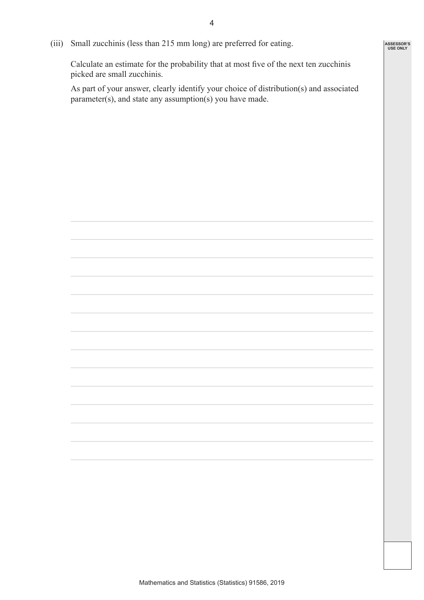**ASSESSOR'S USE ONLY**

(iii) Small zucchinis (less than 215 mm long) are preferred for eating.

 Calculate an estimate for the probability that at most five of the next ten zucchinis picked are small zucchinis.

 As part of your answer, clearly identify your choice of distribution(s) and associated parameter(s), and state any assumption(s) you have made.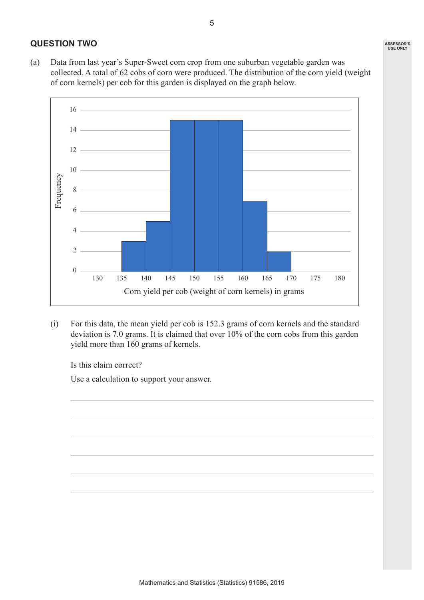#### **QUESTION TWO**

(a) Data from last year's Super-Sweet corn crop from one suburban vegetable garden was collected. A total of 62 cobs of corn were produced. The distribution of the corn yield (weight of corn kernels) per cob for this garden is displayed on the graph below.



(i) For this data, the mean yield per cob is 152.3 grams of corn kernels and the standard deviation is 7.0 grams. It is claimed that over 10% of the corn cobs from this garden yield more than 160 grams of kernels.

Is this claim correct?

Use a calculation to support your answer.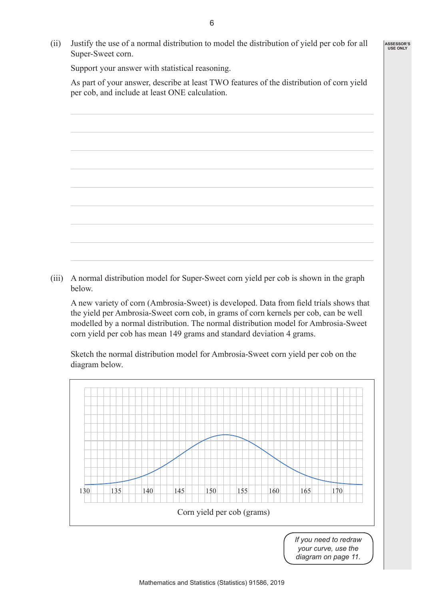(ii) Justify the use of a normal distribution to model the distribution of yield per cob for all Super-Sweet corn.

Support your answer with statistical reasoning.

 As part of your answer, describe at least TWO features of the distribution of corn yield per cob, and include at least ONE calculation.



(iii) A normal distribution model for Super-Sweet corn yield per cob is shown in the graph below.

 A new variety of corn (Ambrosia-Sweet) is developed. Data from field trials shows that the yield per Ambrosia-Sweet corn cob, in grams of corn kernels per cob, can be well modelled by a normal distribution. The normal distribution model for Ambrosia-Sweet corn yield per cob has mean 149 grams and standard deviation 4 grams.

 Sketch the normal distribution model for Ambrosia-Sweet corn yield per cob on the diagram below.



**ASSESSOR'S USE ONLY**

*diagram on page 11.*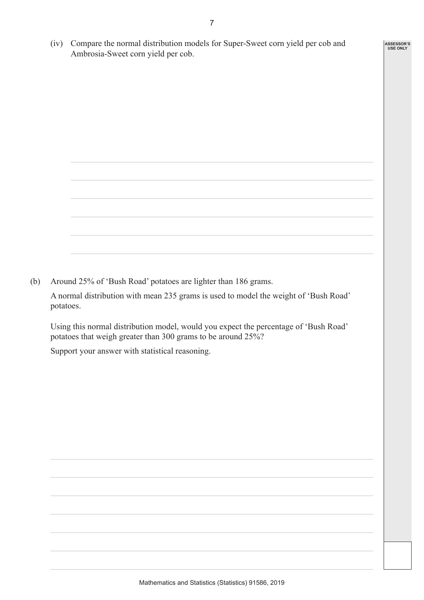(iv) Compare the normal distribution models for Super-Sweet corn yield per cob and Ambrosia-Sweet corn yield per cob.

**ASSESSOR'S USE ONLY**

(b) Around 25% of 'Bush Road' potatoes are lighter than 186 grams.

A normal distribution with mean 235 grams is used to model the weight of 'Bush Road' potatoes.

Using this normal distribution model, would you expect the percentage of 'Bush Road' potatoes that weigh greater than 300 grams to be around 25%?

Support your answer with statistical reasoning.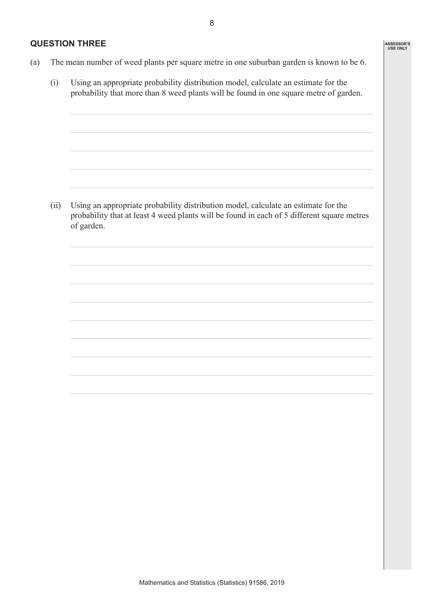8

### **QUESTION THREE**

- (a) The mean number of weed plants per square metre in one suburban garden is known to be 6.
	- (i) Using an appropriate probability distribution model, calculate an estimate for the probability that more than 8 weed plants will be found in one square metre of garden.

(ii) Using an appropriate probability distribution model, calculate an estimate for the probability that at least 4 weed plants will be found in each of 5 different square metres of garden.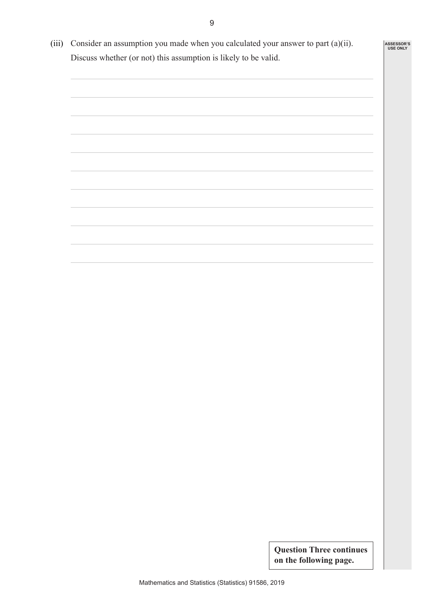(iii) Consider an assumption you made when you calculated your answer to part (a)(ii). Discuss whether (or not) this assumption is likely to be valid.



**Question Three continues on the following page.**

**ASSESSOR'S USE ONLY**

9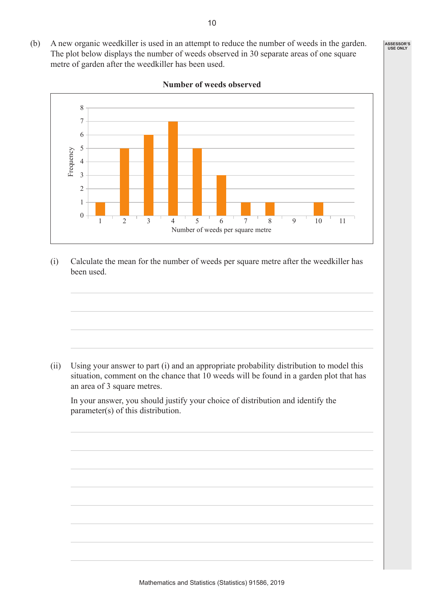**ASSESSOR'S USE ONLY**



**Number of weeds observed**

(i) Calculate the mean for the number of weeds per square metre after the weedkiller has been used.

(ii) Using your answer to part (i) and an appropriate probability distribution to model this situation, comment on the chance that 10 weeds will be found in a garden plot that has an area of 3 square metres.

 In your answer, you should justify your choice of distribution and identify the parameter(s) of this distribution.

(b) A new organic weedkiller is used in an attempt to reduce the number of weeds in the garden. The plot below displays the number of weeds observed in 30 separate areas of one square

metre of garden after the weedkiller has been used.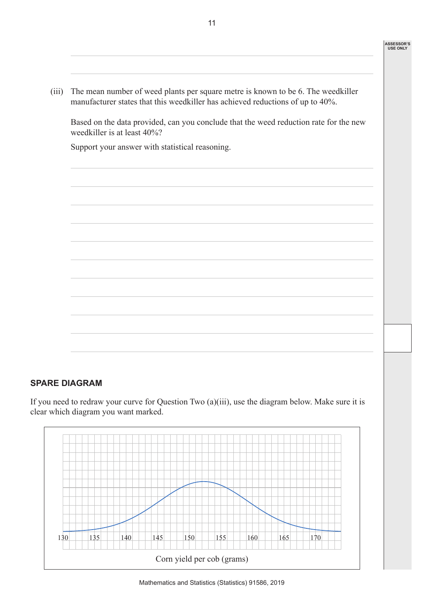(iii) The mean number of weed plants per square metre is known to be 6. The weedkiller manufacturer states that this weedkiller has achieved reductions of up to 40%.

 Based on the data provided, can you conclude that the weed reduction rate for the new weedkiller is at least 40%?

Support your answer with statistical reasoning.



## **SPARE DIAGRAM**

If you need to redraw your curve for Question Two (a)(iii), use the diagram below. Make sure it is clear which diagram you want marked.